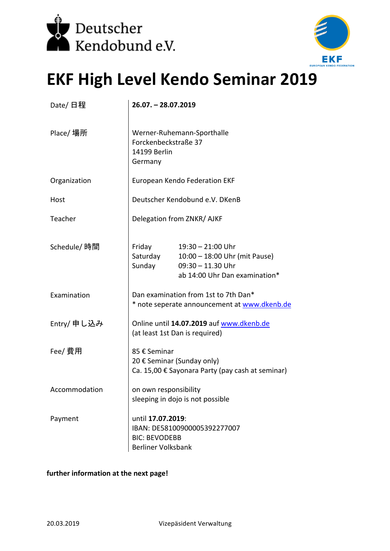



## **EKF High Level Kendo Seminar 2019**

| Date/ 日程      | 26.07. - 28.07.2019                                                                                    |                                                                                                              |
|---------------|--------------------------------------------------------------------------------------------------------|--------------------------------------------------------------------------------------------------------------|
| Place/ 場所     | Werner-Ruhemann-Sporthalle<br>Forckenbeckstraße 37<br>14199 Berlin<br>Germany                          |                                                                                                              |
| Organization  | European Kendo Federation EKF                                                                          |                                                                                                              |
| Host          | Deutscher Kendobund e.V. DKenB                                                                         |                                                                                                              |
| Teacher       | Delegation from ZNKR/ AJKF                                                                             |                                                                                                              |
| Schedule/ 時間  | Friday<br>Saturday<br>Sunday                                                                           | $19:30 - 21:00$ Uhr<br>10:00 - 18:00 Uhr (mit Pause)<br>$09:30 - 11.30$ Uhr<br>ab 14:00 Uhr Dan examination* |
| Examination   | Dan examination from 1st to 7th Dan*<br>* note seperate announcement at www.dkenb.de                   |                                                                                                              |
| Entry/ 申し込み   | Online until 14.07.2019 auf www.dkenb.de<br>(at least 1st Dan is required)                             |                                                                                                              |
| Fee/ 費用       | 85 € Seminar<br>20 € Seminar (Sunday only)<br>Ca. 15,00 € Sayonara Party (pay cash at seminar)         |                                                                                                              |
| Accommodation | on own responsibility<br>sleeping in dojo is not possible                                              |                                                                                                              |
| Payment       | until 17.07.2019:<br>IBAN: DE58100900005392277007<br><b>BIC: BEVODEBB</b><br><b>Berliner Volksbank</b> |                                                                                                              |

## further information at the next page!